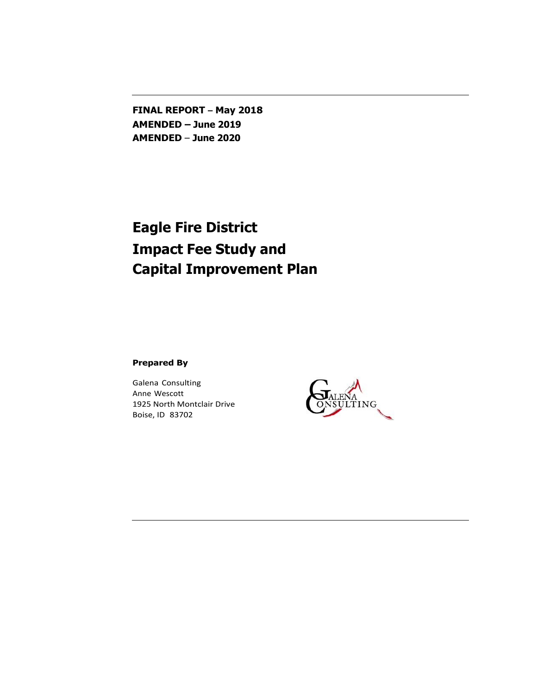**FINAL REPORT – May 2018 AMENDED – June 2019 AMENDED** – **June 2020**

# **Eagle Fire District Impact Fee Study and Capital Improvement Plan**

**Prepared By**

Galena Consulting Anne Wescott 1925 North Montclair Drive Boise, ID 83702

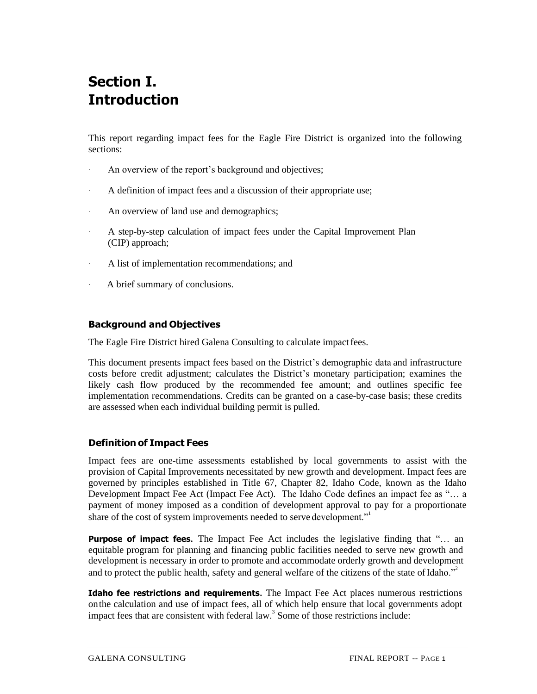# **Section I. Introduction**

This report regarding impact fees for the Eagle Fire District is organized into the following sections:

- An overview of the report's background and objectives;
- A definition of impact fees and a discussion of their appropriate use;
- An overview of land use and demographics;
- A step-by-step calculation of impact fees under the Capital Improvement Plan (CIP) approach;
- A list of implementation recommendations; and
- A brief summary of conclusions.

# **Background and Objectives**

The Eagle Fire District hired Galena Consulting to calculate impact fees.

This document presents impact fees based on the District's demographic data and infrastructure costs before credit adjustment; calculates the District's monetary participation; examines the likely cash flow produced by the recommended fee amount; and outlines specific fee implementation recommendations. Credits can be granted on a case-by-case basis; these credits are assessed when each individual building permit is pulled.

# **Definition of Impact Fees**

Impact fees are one-time assessments established by local governments to assist with the provision of Capital Improvements necessitated by new growth and development. Impact fees are governed by principles established in Title 67, Chapter 82, Idaho Code, known as the Idaho Development Impact Fee Act (Impact Fee Act). The Idaho Code defines an impact fee as "… a payment of money imposed as a condition of development approval to pay for a proportionate share of the cost of system improvements needed to serve development."<sup>1</sup>

**Purpose of impact fees.** The Impact Fee Act includes the legislative finding that "… an equitable program for planning and financing public facilities needed to serve new growth and development is necessary in order to promote and accommodate orderly growth and development and to protect the public health, safety and general welfare of the citizens of the state of Idaho. $<sup>2</sup>$ </sup>

**Idaho fee restrictions and requirements.** The Impact Fee Act places numerous restrictions onthe calculation and use of impact fees, all of which help ensure that local governments adopt impact fees that are consistent with federal law.<sup>3</sup> Some of those restrictions include: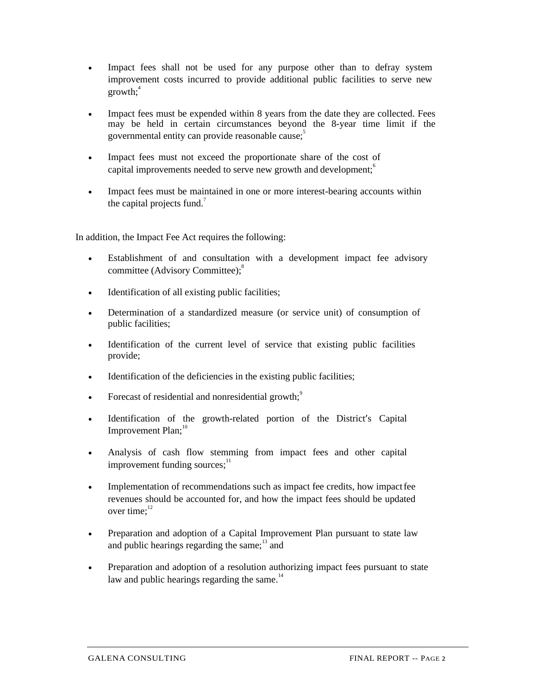- Impact fees shall not be used for any purpose other than to defray system improvement costs incurred to provide additional public facilities to serve new  $growth:$ <sup>4</sup>
- Impact fees must be expended within 8 years from the date they are collected. Fees may be held in certain circumstances beyond the 8-year time limit if the governmental entity can provide reasonable cause; 5
- Impact fees must not exceed the proportionate share of the cost of capital improvements needed to serve new growth and development;<sup>6</sup>
- Impact fees must be maintained in one or more interest-bearing accounts within the capital projects fund.<sup> $7$ </sup>

In addition, the Impact Fee Act requires the following:

- Establishment of and consultation with a development impact fee advisory committee (Advisory Committee);<sup>8</sup>
- Identification of all existing public facilities;
- Determination of a standardized measure (or service unit) of consumption of public facilities;
- Identification of the current level of service that existing public facilities provide;
- Identification of the deficiencies in the existing public facilities;
- Forecast of residential and nonresidential growth;<sup>9</sup>
- Identification of the growth-related portion of the District's Capital Improvement Plan;<sup>10</sup>
- Analysis of cash flow stemming from impact fees and other capital improvement funding sources: $11$
- Implementation of recommendations such as impact fee credits, how impact fee revenues should be accounted for, and how the impact fees should be updated over time; $^{12}$
- Preparation and adoption of a Capital Improvement Plan pursuant to state law and public hearings regarding the same; $13$  and
- Preparation and adoption of a resolution authorizing impact fees pursuant to state law and public hearings regarding the same. $14$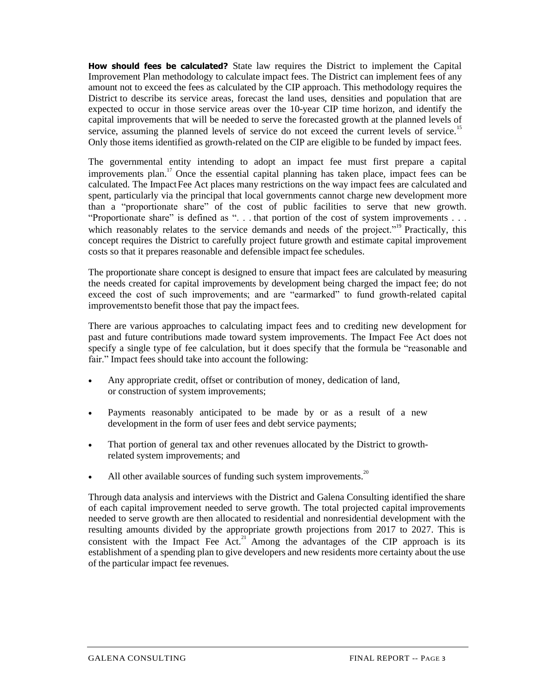**How should fees be calculated?** State law requires the District to implement the Capital Improvement Plan methodology to calculate impact fees. The District can implement fees of any amount not to exceed the fees as calculated by the CIP approach. This methodology requires the District to describe its service areas, forecast the land uses, densities and population that are expected to occur in those service areas over the 10-year CIP time horizon, and identify the capital improvements that will be needed to serve the forecasted growth at the planned levels of service, assuming the planned levels of service do not exceed the current levels of service.<sup>15</sup> Only those items identified as growth-related on the CIP are eligible to be funded by impact fees.

The governmental entity intending to adopt an impact fee must first prepare a capital improvements plan.<sup>17</sup> Once the essential capital planning has taken place, impact fees can be calculated. The ImpactFee Act places many restrictions on the way impact fees are calculated and spent, particularly via the principal that local governments cannot charge new development more than a "proportionate share" of the cost of public facilities to serve that new growth. "Proportionate share" is defined as ". . . that portion of the cost of system improvements . . . which reasonably relates to the service demands and needs of the project."<sup>19</sup> Practically, this concept requires the District to carefully project future growth and estimate capital improvement costs so that it prepares reasonable and defensible impact fee schedules.

The proportionate share concept is designed to ensure that impact fees are calculated by measuring the needs created for capital improvements by development being charged the impact fee; do not exceed the cost of such improvements; and are "earmarked" to fund growth-related capital improvements to benefit those that pay the impact fees.

There are various approaches to calculating impact fees and to crediting new development for past and future contributions made toward system improvements. The Impact Fee Act does not specify a single type of fee calculation, but it does specify that the formula be "reasonable and fair." Impact fees should take into account the following:

- Any appropriate credit, offset or contribution of money, dedication of land, or construction of system improvements;
- Payments reasonably anticipated to be made by or as a result of a new development in the form of user fees and debt service payments;
- That portion of general tax and other revenues allocated by the District to growthrelated system improvements; and
- All other available sources of funding such system improvements.<sup>20</sup>

Through data analysis and interviews with the District and Galena Consulting identified the share of each capital improvement needed to serve growth. The total projected capital improvements needed to serve growth are then allocated to residential and nonresidential development with the resulting amounts divided by the appropriate growth projections from 2017 to 2027. This is consistent with the Impact Fee Act.<sup>21</sup> Among the advantages of the CIP approach is its establishment of a spending plan to give developers and new residents more certainty about the use of the particular impact fee revenues.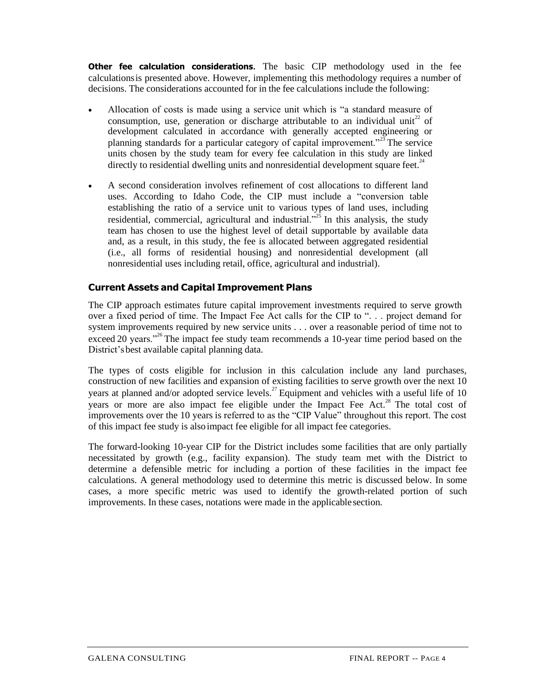**Other fee calculation considerations.** The basic CIP methodology used in the fee calculationsis presented above. However, implementing this methodology requires a number of decisions. The considerations accounted for in the fee calculations include the following:

- Allocation of costs is made using a service unit which is "a standard measure of consumption, use, generation or discharge attributable to an individual unit<sup>22</sup> of development calculated in accordance with generally accepted engineering or planning standards for a particular category of capital improvement."<sup>23</sup>The service units chosen by the study team for every fee calculation in this study are linked directly to residential dwelling units and nonresidential development square feet. $^{24}$
- A second consideration involves refinement of cost allocations to different land uses. According to Idaho Code, the CIP must include a "conversion table establishing the ratio of a service unit to various types of land uses, including residential, commercial, agricultural and industrial."<sup>25</sup> In this analysis, the study team has chosen to use the highest level of detail supportable by available data and, as a result, in this study, the fee is allocated between aggregated residential (i.e., all forms of residential housing) and nonresidential development (all nonresidential uses including retail, office, agricultural and industrial).

# **Current Assets and Capital Improvement Plans**

The CIP approach estimates future capital improvement investments required to serve growth over a fixed period of time. The Impact Fee Act calls for the CIP to ". . . project demand for system improvements required by new service units . . . over a reasonable period of time not to exceed 20 years."<sup>26</sup>The impact fee study team recommends a 10-year time period based on the District'sbest available capital planning data.

The types of costs eligible for inclusion in this calculation include any land purchases, construction of new facilities and expansion of existing facilities to serve growth over the next 10 years at planned and/or adopted service levels.<sup>27</sup> Equipment and vehicles with a useful life of 10 years or more are also impact fee eligible under the Impact Fee Act.<sup>28</sup> The total cost of improvements over the 10 years is referred to as the "CIP Value" throughout this report. The cost of this impact fee study is alsoimpact fee eligible for all impact fee categories.

The forward-looking 10-year CIP for the District includes some facilities that are only partially necessitated by growth (e.g., facility expansion). The study team met with the District to determine a defensible metric for including a portion of these facilities in the impact fee calculations. A general methodology used to determine this metric is discussed below. In some cases, a more specific metric was used to identify the growth-related portion of such improvements. In these cases, notations were made in the applicable section.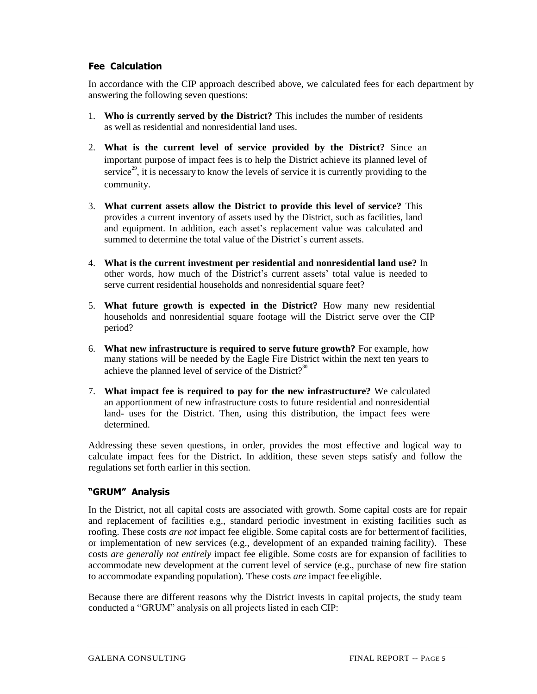# **Fee Calculation**

In accordance with the CIP approach described above, we calculated fees for each department by answering the following seven questions:

- 1. **Who is currently served by the District?** This includes the number of residents as well as residential and nonresidential land uses.
- 2. **What is the current level of service provided by the District?** Since an important purpose of impact fees is to help the District achieve its planned level of service<sup>29</sup>, it is necessary to know the levels of service it is currently providing to the community.
- 3. **What current assets allow the District to provide this level of service?** This provides a current inventory of assets used by the District, such as facilities, land and equipment. In addition, each asset's replacement value was calculated and summed to determine the total value of the District's current assets.
- 4. **What is the current investment per residential and nonresidential land use?** In other words, how much of the District's current assets' total value is needed to serve current residential households and nonresidential square feet?
- 5. **What future growth is expected in the District?** How many new residential households and nonresidential square footage will the District serve over the CIP period?
- 6. **What new infrastructure is required to serve future growth?** For example, how many stations will be needed by the Eagle Fire District within the next ten years to achieve the planned level of service of the District?<sup>30</sup>
- 7. **What impact fee is required to pay for the new infrastructure?** We calculated an apportionment of new infrastructure costs to future residential and nonresidential land- uses for the District. Then, using this distribution, the impact fees were determined.

Addressing these seven questions, in order, provides the most effective and logical way to calculate impact fees for the District**.** In addition, these seven steps satisfy and follow the regulations set forth earlier in this section.

# **"GRUM" Analysis**

In the District, not all capital costs are associated with growth. Some capital costs are for repair and replacement of facilities e.g., standard periodic investment in existing facilities such as roofing. These costs *are not* impact fee eligible. Some capital costs are for bettermentof facilities, or implementation of new services (e.g., development of an expanded training facility). These costs *are generally not entirely* impact fee eligible. Some costs are for expansion of facilities to accommodate new development at the current level of service (e.g., purchase of new fire station to accommodate expanding population). These costs *are* impact fee eligible.

Because there are different reasons why the District invests in capital projects, the study team conducted a "GRUM" analysis on all projects listed in each CIP: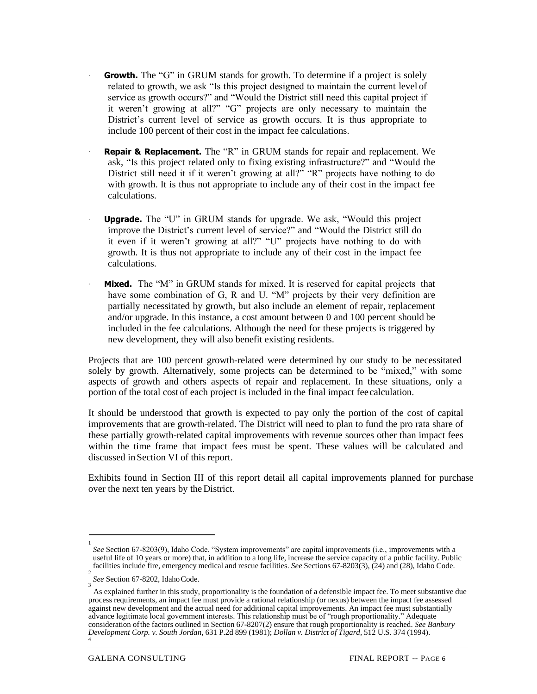- **Growth.** The "G" in GRUM stands for growth. To determine if a project is solely related to growth, we ask "Is this project designed to maintain the current level of service as growth occurs?" and "Would the District still need this capital project if it weren't growing at all?" "G" projects are only necessary to maintain the District's current level of service as growth occurs. It is thus appropriate to include 100 percent of their cost in the impact fee calculations.
- **Repair & Replacement.** The "R" in GRUM stands for repair and replacement. We ask, "Is this project related only to fixing existing infrastructure?" and "Would the District still need it if it weren't growing at all?" "R" projects have nothing to do with growth. It is thus not appropriate to include any of their cost in the impact fee calculations.
- **Upgrade.** The "U" in GRUM stands for upgrade. We ask, "Would this project improve the District's current level of service?" and "Would the District still do it even if it weren't growing at all?" "U" projects have nothing to do with growth. It is thus not appropriate to include any of their cost in the impact fee calculations.
- **Mixed.** The "M" in GRUM stands for mixed. It is reserved for capital projects that have some combination of G, R and U. "M" projects by their very definition are partially necessitated by growth, but also include an element of repair, replacement and/or upgrade. In this instance, a cost amount between 0 and 100 percent should be included in the fee calculations. Although the need for these projects is triggered by new development, they will also benefit existing residents.

Projects that are 100 percent growth-related were determined by our study to be necessitated solely by growth. Alternatively, some projects can be determined to be "mixed," with some aspects of growth and others aspects of repair and replacement. In these situations, only a portion of the total cost of each project is included in the final impact feecalculation.

It should be understood that growth is expected to pay only the portion of the cost of capital improvements that are growth-related. The District will need to plan to fund the pro rata share of these partially growth-related capital improvements with revenue sources other than impact fees within the time frame that impact fees must be spent. These values will be calculated and discussed in Section VI of this report.

Exhibits found in Section III of this report detail all capital improvements planned for purchase over the next ten years by the District.

<sup>1</sup> *See* Section 67-8203(9), Idaho Code. "System improvements" are capital improvements (i.e., improvements with a useful life of 10 years or more) that, in addition to a long life, increase the service capacity of a public facility. Public facilities include fire, emergency medical and rescue facilities. *See* Sections 67-8203(3), (24) and (28), Idaho Code.

<sup>2</sup> *See* Section 67-8202, IdahoCode.

<sup>3</sup> As explained further in this study, proportionality is the foundation of a defensible impact fee. To meet substantive due process requirements, an impact fee must provide a rational relationship (or nexus) between the impact fee assessed against new development and the actual need for additional capital improvements. An impact fee must substantially advance legitimate local government interests. This relationship must be of "rough proportionality." Adequate consideration ofthe factors outlined in Section 67-8207(2) ensure that rough proportionality is reached. *See Banbury Development Corp. v. South Jordan*, 631 P.2d 899 (1981); *Dollan v. District of Tigard*, 512 U.S. 374 (1994). 4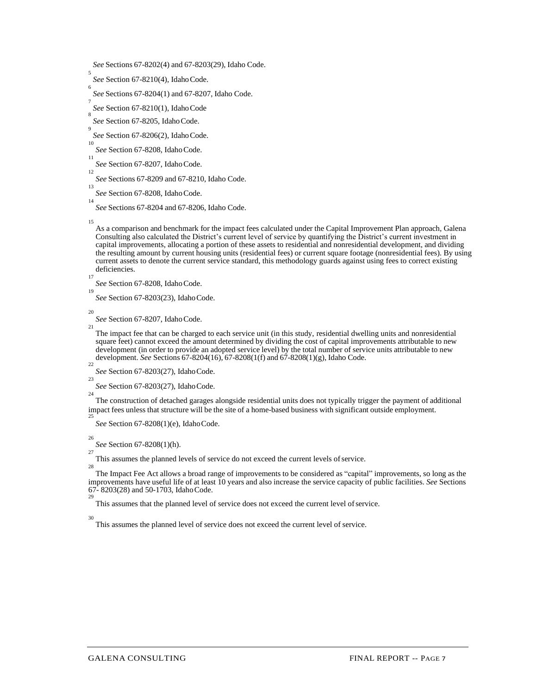13 *See* Section 67-8208, IdahoCode.

15

As a comparison and benchmark for the impact fees calculated under the Capital Improvement Plan approach, Galena Consulting also calculated the District's current level of service by quantifying the District's current investment in capital improvements, allocating a portion of these assets to residential and nonresidential development, and dividing the resulting amount by current housing units (residential fees) or current square footage (nonresidential fees). By using current assets to denote the current service standard, this methodology guards against using fees to correct existing deficiencies.

*See* Section 67-8208, IdahoCode. 19

*See* Section 67-8203(23), IdahoCode.

20 21

17

The impact fee that can be charged to each service unit (in this study, residential dwelling units and nonresidential square feet) cannot exceed the amount determined by dividing the cost of capital improvements attributable to new development (in order to provide an adopted service level) by the total number of service units attributable to new development. *See* Sections 67-8204(16), 67-8208(1(f) and 67-8208(1)(g), Idaho Code.

22 *See* Section 67-8203(27), IdahoCode.

23 *See* Section 67-8203(27), IdahoCode.

The construction of detached garages alongside residential units does not typically trigger the payment of additional impact fees unless that structure will be the site of a home-based business with significant outside employment.

25 *See* Section 67-8208(1)(e), IdahoCode.

26

24

*See* Section 67-8208(1)(h).  $27$ 

This assumes the planned levels of service do not exceed the current levels ofservice.

28 The Impact Fee Act allows a broad range of improvements to be considered as "capital" improvements, so long as the improvements have useful life of at least 10 years and also increase the service capacity of public facilities. *See* Sections 67- 8203(28) and 50-1703, IdahoCode. 29

This assumes that the planned level of service does not exceed the current level ofservice.

30

This assumes the planned level of service does not exceed the current level of service.

*See* Sections 67-8202(4) and 67-8203(29), Idaho Code.

<sup>5</sup> *See* Section 67-8210(4), IdahoCode.

<sup>6</sup> *See* Sections 67-8204(1) and 67-8207, Idaho Code.

<sup>7</sup> *See* Section 67-8210(1), IdahoCode

<sup>8</sup> *See* Section 67-8205, IdahoCode.

<sup>9</sup> *See* Section 67-8206(2), IdahoCode.

<sup>10</sup> *See* Section 67-8208, IdahoCode.

<sup>11</sup> *See* Section 67-8207, IdahoCode. 12

*See* Sections 67-8209 and 67-8210, Idaho Code.

<sup>14</sup> *See* Sections 67-8204 and 67-8206, Idaho Code.

*See* Section 67-8207, IdahoCode.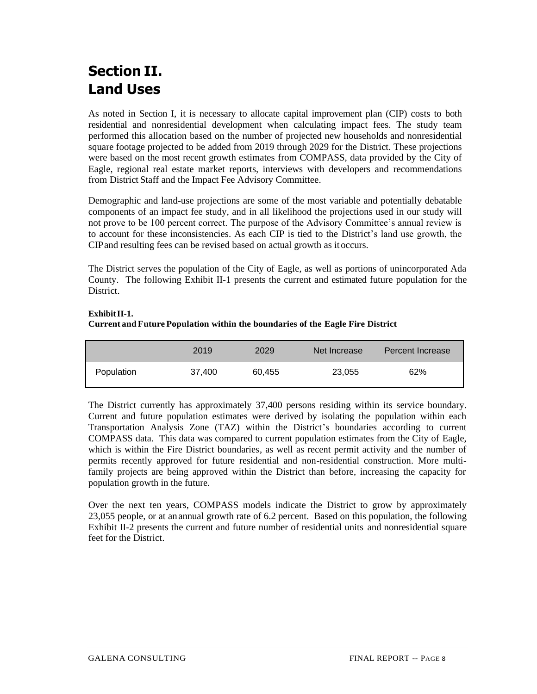# **Section II. Land Uses**

As noted in Section I, it is necessary to allocate capital improvement plan (CIP) costs to both residential and nonresidential development when calculating impact fees. The study team performed this allocation based on the number of projected new households and nonresidential square footage projected to be added from 2019 through 2029 for the District. These projections were based on the most recent growth estimates from COMPASS, data provided by the City of Eagle, regional real estate market reports, interviews with developers and recommendations from District Staff and the Impact Fee Advisory Committee.

Demographic and land-use projections are some of the most variable and potentially debatable components of an impact fee study, and in all likelihood the projections used in our study will not prove to be 100 percent correct. The purpose of the Advisory Committee's annual review is to account for these inconsistencies. As each CIP is tied to the District's land use growth, the CIPand resulting fees can be revised based on actual growth as it occurs.

The District serves the population of the City of Eagle, as well as portions of unincorporated Ada County. The following Exhibit II-1 presents the current and estimated future population for the District.

### **ExhibitII-1.**

### **Current and Future Population within the boundaries of the Eagle Fire District**

|            | 2019   | 2029   | Net Increase | Percent Increase |
|------------|--------|--------|--------------|------------------|
| Population | 37,400 | 60.455 | 23,055       | 62%              |

The District currently has approximately 37,400 persons residing within its service boundary. Current and future population estimates were derived by isolating the population within each Transportation Analysis Zone (TAZ) within the District's boundaries according to current COMPASS data. This data was compared to current population estimates from the City of Eagle, which is within the Fire District boundaries, as well as recent permit activity and the number of permits recently approved for future residential and non-residential construction. More multifamily projects are being approved within the District than before, increasing the capacity for population growth in the future.

Over the next ten years, COMPASS models indicate the District to grow by approximately 23,055 people, or at anannual growth rate of 6.2 percent. Based on this population, the following Exhibit II-2 presents the current and future number of residential units and nonresidential square feet for the District.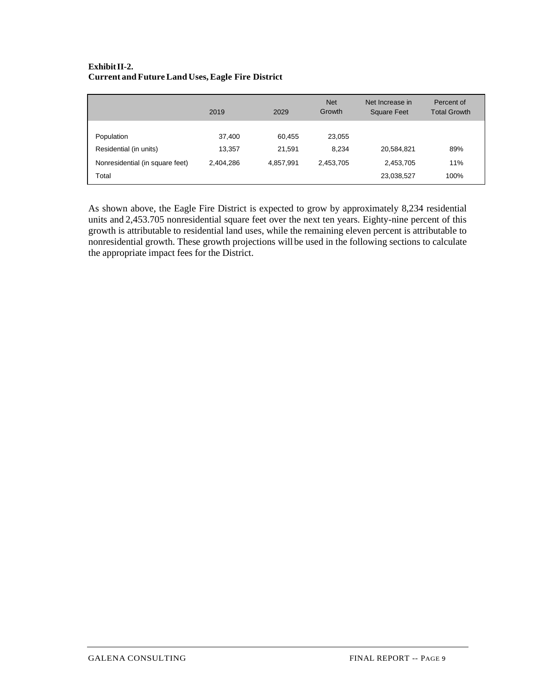## **ExhibitII-2. Current and FutureLand Uses,Eagle Fire District**

|                                                                                  | 2019                          | 2029                          | <b>Net</b><br>Growth         | Net Increase in<br><b>Square Feet</b> | Percent of<br><b>Total Growth</b> |
|----------------------------------------------------------------------------------|-------------------------------|-------------------------------|------------------------------|---------------------------------------|-----------------------------------|
| Population<br>Residential (in units)<br>Nonresidential (in square feet)<br>Total | 37,400<br>13,357<br>2,404,286 | 60,455<br>21,591<br>4,857,991 | 23,055<br>8,234<br>2,453,705 | 20,584,821<br>2,453,705<br>23,038,527 | 89%<br>11%<br>100%                |

As shown above, the Eagle Fire District is expected to grow by approximately 8,234 residential units and 2,453.705 nonresidential square feet over the next ten years. Eighty-nine percent of this growth is attributable to residential land uses, while the remaining eleven percent is attributable to nonresidential growth. These growth projections willbe used in the following sections to calculate the appropriate impact fees for the District.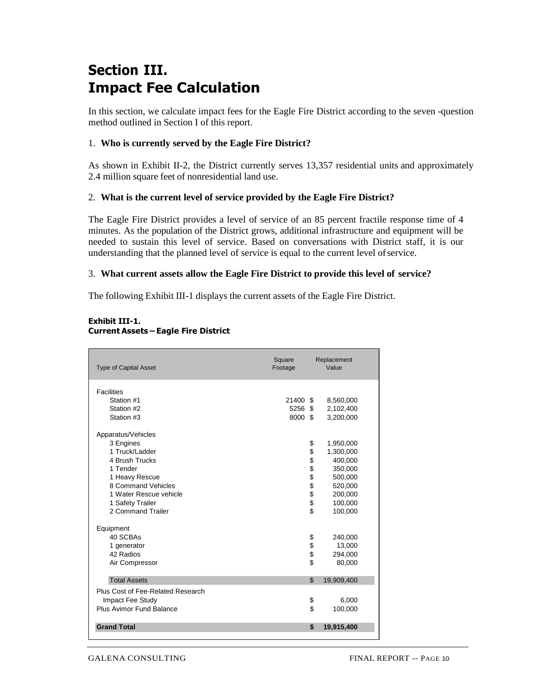# **Section III. Impact Fee Calculation**

In this section, we calculate impact fees for the Eagle Fire District according to the seven -question method outlined in Section I of this report.

## 1. **Who is currently served by the Eagle Fire District?**

As shown in Exhibit II-2, the District currently serves 13,357 residential units and approximately 2.4 million square feet of nonresidential land use.

### 2. **What is the current level of service provided by the Eagle Fire District?**

The Eagle Fire District provides a level of service of an 85 percent fractile response time of 4 minutes. As the population of the District grows, additional infrastructure and equipment will be needed to sustain this level of service. Based on conversations with District staff, it is our understanding that the planned level of service is equal to the current level ofservice.

### 3. **What current assets allow the Eagle Fire District to provide this level of service?**

The following Exhibit III-1 displays the current assets of the Eagle Fire District.

| <b>Type of Capital Asset</b>                                                                                                                                                               | Square<br>Replacement<br>Value<br>Footage |               |                                                                                                     |  |  |  |
|--------------------------------------------------------------------------------------------------------------------------------------------------------------------------------------------|-------------------------------------------|---------------|-----------------------------------------------------------------------------------------------------|--|--|--|
| <b>Facilities</b><br>Station #1<br>Station #2<br>Station #3                                                                                                                                | 21400 \$<br>5256 \$<br>8000 \$            |               | 8,560,000<br>2,102,400<br>3,200,000                                                                 |  |  |  |
| Apparatus/Vehicles<br>3 Engines<br>1 Truck/Ladder<br>4 Brush Trucks<br>1 Tender<br>1 Heavy Rescue<br>8 Command Vehicles<br>1 Water Rescue vehicle<br>1 Safety Trailer<br>2 Command Trailer |                                           | \$<br>୫୫୫୫୫୫୫ | 1,950,000<br>1,300,000<br>400,000<br>350,000<br>500,000<br>520,000<br>200,000<br>100,000<br>100,000 |  |  |  |
| Equipment<br>40 SCBAs<br>1 generator<br>42 Radios<br>Air Compressor                                                                                                                        |                                           | \$\$\$\$      | 240,000<br>13,000<br>294,000<br>80,000                                                              |  |  |  |
| <b>Total Assets</b>                                                                                                                                                                        |                                           | \$            | 19,909,400                                                                                          |  |  |  |
| Plus Cost of Fee-Related Research<br>Impact Fee Study<br>Plus Avimor Fund Balance                                                                                                          |                                           | \$<br>\$      | 6,000<br>100,000                                                                                    |  |  |  |
| <b>Grand Total</b>                                                                                                                                                                         |                                           | \$            | 19,915,400                                                                                          |  |  |  |

#### **Exhibit III-1. Current Assets – Eagle Fire District**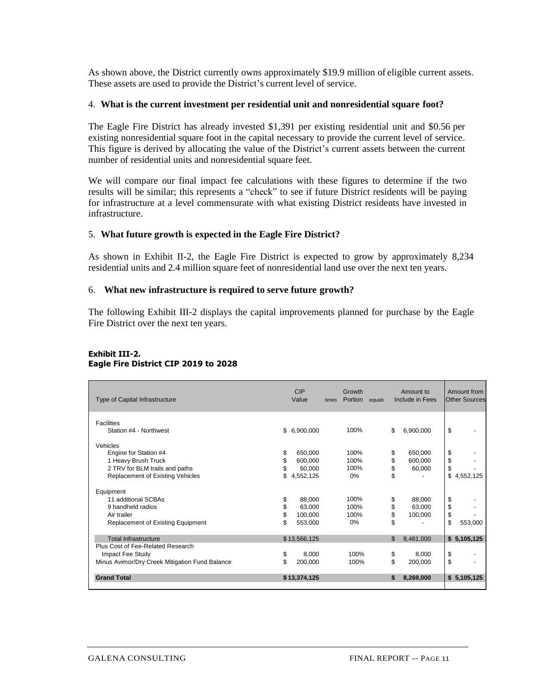As shown above, the District currently owns approximately \$19.9 million of eligible current assets. These assets are used to provide the District's current level of service.

#### 4. **What is the current investment per residential unit and nonresidential square foot?**

The Eagle Fire District has already invested \$1,391 per existing residential unit and \$0.56 per existing nonresidential square foot in the capital necessary to provide the current level of service. This figure is derived by allocating the value of the District's current assets between the current number of residential units and nonresidential square feet.

We will compare our final impact fee calculations with these figures to determine if the two results will be similar; this represents a "check" to see if future District residents will be paying for infrastructure at a level commensurate with what existing District residents have invested in infrastructure.

#### 5. **What future growth is expected in the Eagle Fire District?**

As shown in Exhibit II-2, the Eagle Fire District is expected to grow by approximately 8,234 residential units and 2.4 million square feet of nonresidential land use over the next ten years.

#### 6. **What new infrastructure is required to serve future growth?**

The following Exhibit III-2 displays the capital improvements planned for purchase by the Eagle Fire District over the next ten years.

#### **Exhibit III-2. Eagle Fire District CIP 2019 to 2028**

| Type of Capital Infrastructure                 | <b>CIP</b><br>Value | times | Growth<br>Portion | equals | Amount to<br>Include in Fees | Amount from<br><b>Other Sources</b> |
|------------------------------------------------|---------------------|-------|-------------------|--------|------------------------------|-------------------------------------|
| <b>Facilities</b>                              |                     |       |                   |        |                              |                                     |
| Station #4 - Northwest                         | \$<br>6,900,000     |       | 100%              |        | \$<br>6,900,000              | \$                                  |
| Vehicles                                       |                     |       |                   |        |                              |                                     |
| Engine for Station #4                          | \$<br>650,000       |       | 100%              |        | \$<br>650,000                | \$                                  |
| 1 Heavy Brush Truck                            | 600.000             |       | 100%              |        | \$<br>600,000                | \$                                  |
| 2 TRV for BLM trails and paths                 | 60,000              |       | 100%              |        | \$<br>60,000                 | \$                                  |
| <b>Replacement of Existing Vehicles</b>        | \$<br>4,552,125     |       | 0%                |        | \$                           | \$<br>4,552,125                     |
| Equipment                                      |                     |       |                   |        |                              |                                     |
| 11 additional SCBAs                            | \$<br>88,000        |       | 100%              |        | \$<br>88,000                 | \$                                  |
| 9 handheld radios                              | \$<br>63.000        |       | 100%              |        | \$<br>63,000                 | \$                                  |
| Air trailer                                    | \$<br>100,000       |       | 100%              |        | \$<br>100,000                | \$                                  |
| Replacement of Existing Equipment              | 553,000             |       | 0%                |        | \$                           | \$<br>553,000                       |
| <b>Total Infrastructure</b>                    | \$13,566,125        |       |                   |        | \$<br>8,461,000              | \$5,105,125                         |
| Plus Cost of Fee-Related Research              |                     |       |                   |        |                              |                                     |
| Impact Fee Study                               | \$<br>8,000         |       | 100%              |        | \$<br>8,000                  | \$                                  |
| Minus Avimor/Dry Creek Mitigation Fund Balance | \$<br>200,000       |       | 100%              |        | \$<br>200,000                | \$                                  |
| <b>Grand Total</b>                             | \$13,374,125        |       |                   |        | \$<br>8,269,000              | \$5,105,125                         |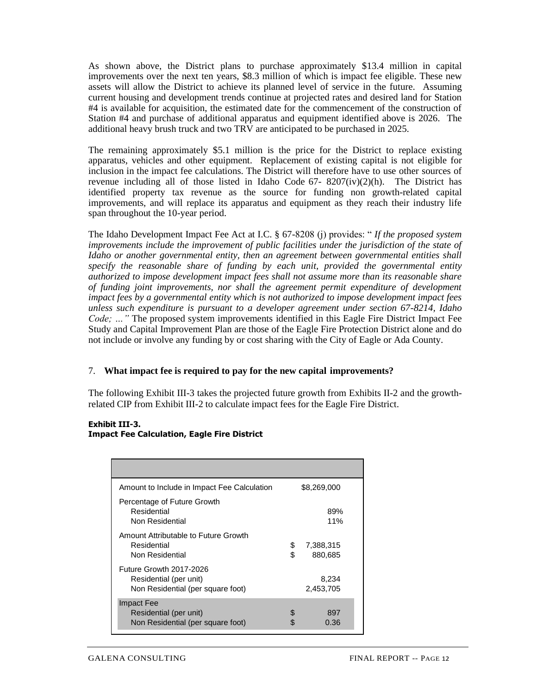As shown above, the District plans to purchase approximately \$13.4 million in capital improvements over the next ten years, \$8.3 million of which is impact fee eligible. These new assets will allow the District to achieve its planned level of service in the future. Assuming current housing and development trends continue at projected rates and desired land for Station #4 is available for acquisition, the estimated date for the commencement of the construction of Station #4 and purchase of additional apparatus and equipment identified above is 2026. The additional heavy brush truck and two TRV are anticipated to be purchased in 2025.

The remaining approximately \$5.1 million is the price for the District to replace existing apparatus, vehicles and other equipment. Replacement of existing capital is not eligible for inclusion in the impact fee calculations. The District will therefore have to use other sources of revenue including all of those listed in Idaho Code 67- 8207(iv)(2)(h). The District has identified property tax revenue as the source for funding non growth-related capital improvements, and will replace its apparatus and equipment as they reach their industry life span throughout the 10-year period.

The Idaho Development Impact Fee Act at I.C. § 67-8208 (j) provides: " *If the proposed system improvements include the improvement of public facilities under the jurisdiction of the state of Idaho or another governmental entity, then an agreement between governmental entities shall specify the reasonable share of funding by each unit, provided the governmental entity authorized to impose development impact fees shall not assume more than its reasonable share of funding joint improvements, nor shall the agreement permit expenditure of development impact fees by a governmental entity which is not authorized to impose development impact fees unless such expenditure is pursuant to a developer agreement under section 67-8214, Idaho Code; …"* The proposed system improvements identified in this Eagle Fire District Impact Fee Study and Capital Improvement Plan are those of the Eagle Fire Protection District alone and do not include or involve any funding by or cost sharing with the City of Eagle or Ada County.

### 7. **What impact fee is required to pay for the new capital improvements?**

The following Exhibit III-3 takes the projected future growth from Exhibits II-2 and the growthrelated CIP from Exhibit III-2 to calculate impact fees for the Eagle Fire District.

#### **Exhibit III-3. Impact Fee Calculation, Eagle Fire District**

| Amount to Include in Impact Fee Calculation                                            |          | \$8,269,000          |  |
|----------------------------------------------------------------------------------------|----------|----------------------|--|
| Percentage of Future Growth<br>Residential<br>Non Residential                          |          | 89%<br>11%           |  |
| Amount Attributable to Future Growth<br>Residential<br>Non Residential                 | \$<br>\$ | 7,388,315<br>880,685 |  |
| Future Growth 2017-2026<br>Residential (per unit)<br>Non Residential (per square foot) |          | 8,234<br>2,453,705   |  |
| <b>Impact Fee</b><br>Residential (per unit)<br>Non Residential (per square foot)       |          | 897<br>0.36          |  |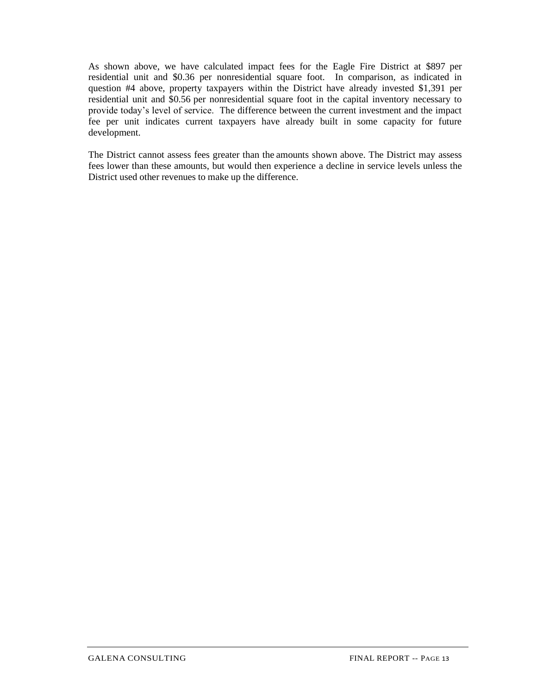As shown above, we have calculated impact fees for the Eagle Fire District at \$897 per residential unit and \$0.36 per nonresidential square foot. In comparison, as indicated in question #4 above, property taxpayers within the District have already invested \$1,391 per residential unit and \$0.56 per nonresidential square foot in the capital inventory necessary to provide today's level of service. The difference between the current investment and the impact fee per unit indicates current taxpayers have already built in some capacity for future development.

The District cannot assess fees greater than the amounts shown above. The District may assess fees lower than these amounts, but would then experience a decline in service levels unless the District used other revenues to make up the difference.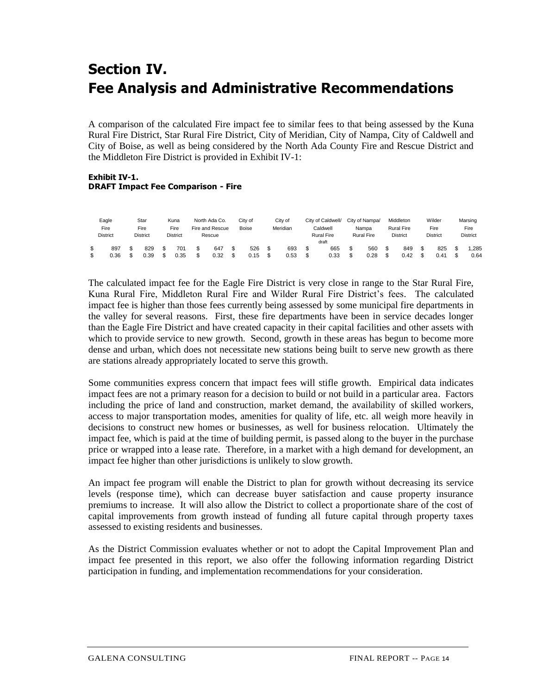# **Section IV. Fee Analysis and Administrative Recommendations**

A comparison of the calculated Fire impact fee to similar fees to that being assessed by the Kuna Rural Fire District, Star Rural Fire District, City of Meridian, City of Nampa, City of Caldwell and City of Boise, as well as being considered by the North Ada County Fire and Rescue District and the Middleton Fire District is provided in Exhibit IV-1:

#### **Exhibit IV-1. DRAFT Impact Fee Comparison - Fire**

|  | Eagle<br>Fire<br><b>District</b> |  |             |  | Star<br>Fire<br><b>District</b> |    |             |             |  |             |  |             |  |             |  |             |  |             |  |              |  |  |  |  | Kuna<br>Fire<br><b>District</b> | North Ada Co.<br>Fire and Rescue<br>Rescue |  | Citv of<br>City of<br>Meridian<br><b>Boise</b> |  |  | City of Caldwell/<br>Caldwell<br><b>Rural Fire</b><br>draft |  | City of Nampa/<br>Nampa<br><b>Rural Fire</b> |  | Middleton<br><b>Rural Fire</b><br><b>District</b> |  | Wilder<br>Fire<br><b>District</b> |  | Marsing<br>Fire<br><b>District</b> |  |
|--|----------------------------------|--|-------------|--|---------------------------------|----|-------------|-------------|--|-------------|--|-------------|--|-------------|--|-------------|--|-------------|--|--------------|--|--|--|--|---------------------------------|--------------------------------------------|--|------------------------------------------------|--|--|-------------------------------------------------------------|--|----------------------------------------------|--|---------------------------------------------------|--|-----------------------------------|--|------------------------------------|--|
|  | 897<br>0.36                      |  | 829<br>ე.39 |  | 701<br>0.35                     | \$ | 647<br>0.32 | 526<br>0.15 |  | 693<br>0.53 |  | 665<br>0.33 |  | 560<br>0.28 |  | 849<br>0.42 |  | 825<br>0.41 |  | .285<br>0.64 |  |  |  |  |                                 |                                            |  |                                                |  |  |                                                             |  |                                              |  |                                                   |  |                                   |  |                                    |  |

The calculated impact fee for the Eagle Fire District is very close in range to the Star Rural Fire, Kuna Rural Fire, Middleton Rural Fire and Wilder Rural Fire District's fees. The calculated impact fee is higher than those fees currently being assessed by some municipal fire departments in the valley for several reasons. First, these fire departments have been in service decades longer than the Eagle Fire District and have created capacity in their capital facilities and other assets with which to provide service to new growth. Second, growth in these areas has begun to become more dense and urban, which does not necessitate new stations being built to serve new growth as there are stations already appropriately located to serve this growth.

Some communities express concern that impact fees will stifle growth. Empirical data indicates impact fees are not a primary reason for a decision to build or not build in a particular area. Factors including the price of land and construction, market demand, the availability of skilled workers, access to major transportation modes, amenities for quality of life, etc. all weigh more heavily in decisions to construct new homes or businesses, as well for business relocation. Ultimately the impact fee, which is paid at the time of building permit, is passed along to the buyer in the purchase price or wrapped into a lease rate. Therefore, in a market with a high demand for development, an impact fee higher than other jurisdictions is unlikely to slow growth.

An impact fee program will enable the District to plan for growth without decreasing its service levels (response time), which can decrease buyer satisfaction and cause property insurance premiums to increase. It will also allow the District to collect a proportionate share of the cost of capital improvements from growth instead of funding all future capital through property taxes assessed to existing residents and businesses.

As the District Commission evaluates whether or not to adopt the Capital Improvement Plan and impact fee presented in this report, we also offer the following information regarding District participation in funding, and implementation recommendations for your consideration.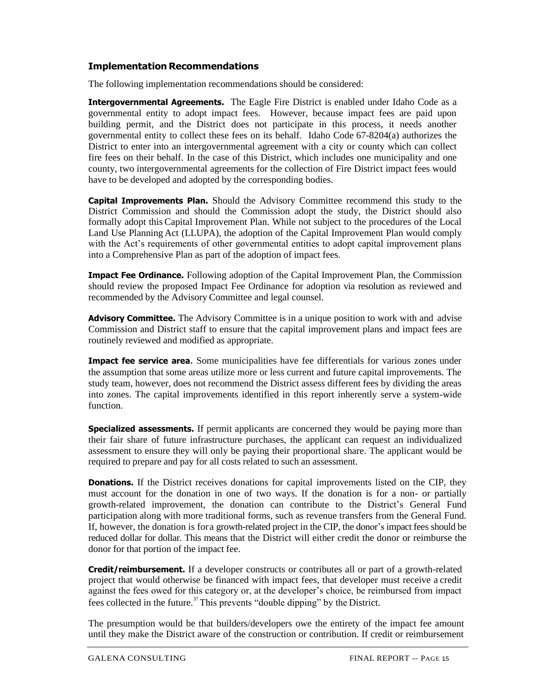## **Implementation Recommendations**

The following implementation recommendations should be considered:

**Intergovernmental Agreements.** The Eagle Fire District is enabled under Idaho Code as a governmental entity to adopt impact fees. However, because impact fees are paid upon building permit, and the District does not participate in this process, it needs another governmental entity to collect these fees on its behalf. Idaho Code 67-8204(a) authorizes the District to enter into an intergovernmental agreement with a city or county which can collect fire fees on their behalf. In the case of this District, which includes one municipality and one county, two intergovernmental agreements for the collection of Fire District impact fees would have to be developed and adopted by the corresponding bodies.

**Capital Improvements Plan.** Should the Advisory Committee recommend this study to the District Commission and should the Commission adopt the study, the District should also formally adopt this Capital Improvement Plan. While not subject to the procedures of the Local Land Use Planning Act (LLUPA), the adoption of the Capital Improvement Plan would comply with the Act's requirements of other governmental entities to adopt capital improvement plans into a Comprehensive Plan as part of the adoption of impact fees.

**Impact Fee Ordinance.** Following adoption of the Capital Improvement Plan, the Commission should review the proposed Impact Fee Ordinance for adoption via resolution as reviewed and recommended by the Advisory Committee and legal counsel.

**Advisory Committee.** The Advisory Committee is in a unique position to work with and advise Commission and District staff to ensure that the capital improvement plans and impact fees are routinely reviewed and modified as appropriate.

**Impact fee service area.** Some municipalities have fee differentials for various zones under the assumption that some areas utilize more or less current and future capital improvements. The study team, however, does not recommend the District assess different fees by dividing the areas into zones. The capital improvements identified in this report inherently serve a system-wide function.

**Specialized assessments.** If permit applicants are concerned they would be paying more than their fair share of future infrastructure purchases, the applicant can request an individualized assessment to ensure they will only be paying their proportional share. The applicant would be required to prepare and pay for all costs related to such an assessment.

**Donations.** If the District receives donations for capital improvements listed on the CIP, they must account for the donation in one of two ways. If the donation is for a non- or partially growth-related improvement, the donation can contribute to the District's General Fund participation along with more traditional forms, such as revenue transfers from the General Fund. If, however, the donation is fora growth-related project in the CIP, the donor's impact fees should be reduced dollar for dollar. This means that the District will either credit the donor or reimburse the donor for that portion of the impact fee.

**Credit/reimbursement.** If a developer constructs or contributes all or part of a growth-related project that would otherwise be financed with impact fees, that developer must receive a credit against the fees owed for this category or, at the developer's choice, be reimbursed from impact fees collected in the future.<sup>37</sup>This prevents "double dipping" by the District.

The presumption would be that builders/developers owe the entirety of the impact fee amount until they make the District aware of the construction or contribution. If credit or reimbursement